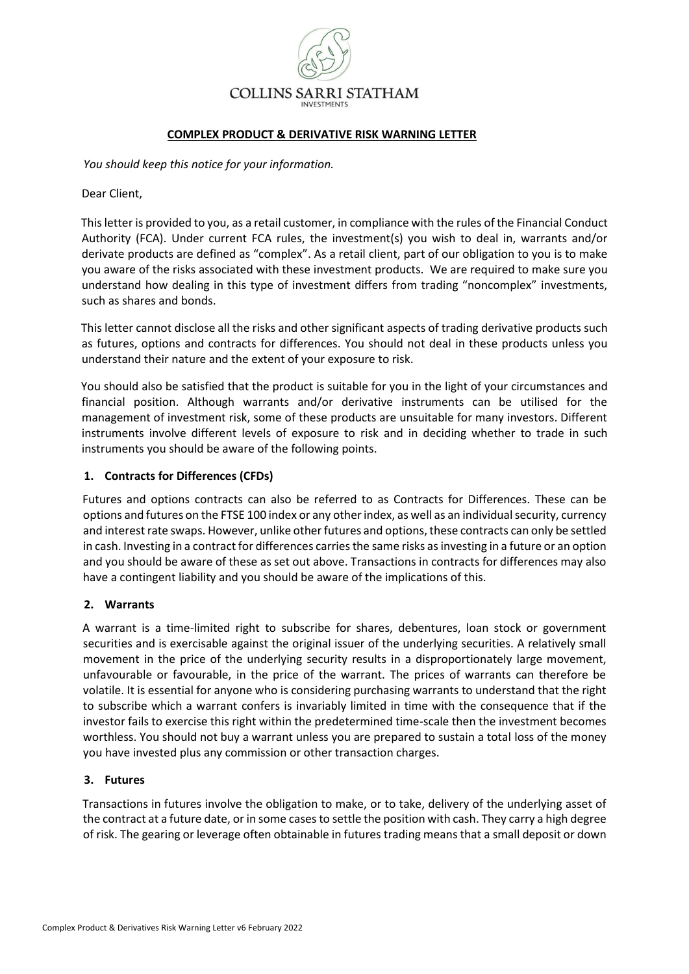

#### **COMPLEX PRODUCT & DERIVATIVE RISK WARNING LETTER**

*You should keep this notice for your information.* 

Dear Client,

This letter is provided to you, as a retail customer, in compliance with the rules of the Financial Conduct Authority (FCA). Under current FCA rules, the investment(s) you wish to deal in, warrants and/or derivate products are defined as "complex". As a retail client, part of our obligation to you is to make you aware of the risks associated with these investment products. We are required to make sure you understand how dealing in this type of investment differs from trading "noncomplex" investments, such as shares and bonds.

This letter cannot disclose all the risks and other significant aspects of trading derivative products such as futures, options and contracts for differences. You should not deal in these products unless you understand their nature and the extent of your exposure to risk.

You should also be satisfied that the product is suitable for you in the light of your circumstances and financial position. Although warrants and/or derivative instruments can be utilised for the management of investment risk, some of these products are unsuitable for many investors. Different instruments involve different levels of exposure to risk and in deciding whether to trade in such instruments you should be aware of the following points.

#### **1. Contracts for Differences (CFDs)**

Futures and options contracts can also be referred to as Contracts for Differences. These can be options and futures on the FTSE 100 index or any other index, as well as an individual security, currency and interest rate swaps. However, unlike other futures and options, these contracts can only be settled in cash. Investing in a contract for differences carries the same risks as investing in a future or an option and you should be aware of these as set out above. Transactions in contracts for differences may also have a contingent liability and you should be aware of the implications of this.

#### **2. Warrants**

A warrant is a time-limited right to subscribe for shares, debentures, loan stock or government securities and is exercisable against the original issuer of the underlying securities. A relatively small movement in the price of the underlying security results in a disproportionately large movement, unfavourable or favourable, in the price of the warrant. The prices of warrants can therefore be volatile. It is essential for anyone who is considering purchasing warrants to understand that the right to subscribe which a warrant confers is invariably limited in time with the consequence that if the investor fails to exercise this right within the predetermined time-scale then the investment becomes worthless. You should not buy a warrant unless you are prepared to sustain a total loss of the money you have invested plus any commission or other transaction charges.

#### **3. Futures**

Transactions in futures involve the obligation to make, or to take, delivery of the underlying asset of the contract at a future date, or in some cases to settle the position with cash. They carry a high degree of risk. The gearing or leverage often obtainable in futures trading means that a small deposit or down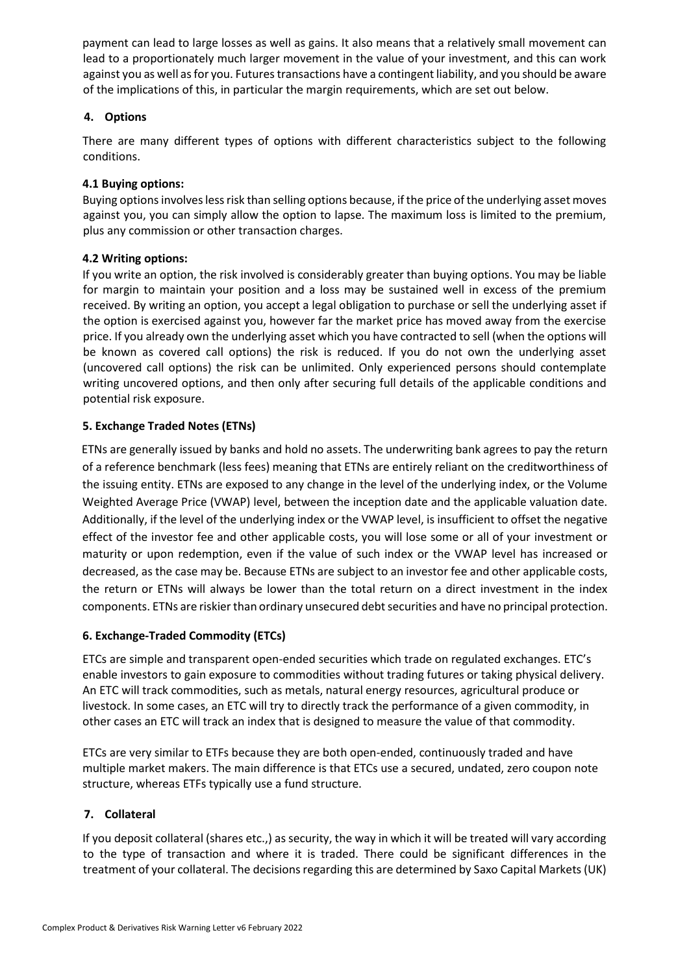payment can lead to large losses as well as gains. It also means that a relatively small movement can lead to a proportionately much larger movement in the value of your investment, and this can work against you as well as for you. Futures transactions have a contingent liability, and you should be aware of the implications of this, in particular the margin requirements, which are set out below.

### **4. Options**

There are many different types of options with different characteristics subject to the following conditions.

## **4.1 Buying options:**

Buying options involves less risk than selling options because, if the price of the underlying asset moves against you, you can simply allow the option to lapse. The maximum loss is limited to the premium, plus any commission or other transaction charges.

## **4.2 Writing options:**

If you write an option, the risk involved is considerably greater than buying options. You may be liable for margin to maintain your position and a loss may be sustained well in excess of the premium received. By writing an option, you accept a legal obligation to purchase or sell the underlying asset if the option is exercised against you, however far the market price has moved away from the exercise price. If you already own the underlying asset which you have contracted to sell (when the options will be known as covered call options) the risk is reduced. If you do not own the underlying asset (uncovered call options) the risk can be unlimited. Only experienced persons should contemplate writing uncovered options, and then only after securing full details of the applicable conditions and potential risk exposure.

## **5. Exchange Traded Notes (ETNs)**

ETNs are generally issued by banks and hold no assets. The underwriting bank agrees to pay the return of a reference benchmark (less fees) meaning that ETNs are entirely reliant on the creditworthiness of the issuing entity. ETNs are exposed to any change in the level of the underlying index, or the Volume Weighted Average Price (VWAP) level, between the inception date and the applicable valuation date. Additionally, if the level of the underlying index or the VWAP level, is insufficient to offset the negative effect of the investor fee and other applicable costs, you will lose some or all of your investment or maturity or upon redemption, even if the value of such index or the VWAP level has increased or decreased, as the case may be. Because ETNs are subject to an investor fee and other applicable costs, the return or ETNs will always be lower than the total return on a direct investment in the index components. ETNs are riskier than ordinary unsecured debt securities and have no principal protection.

# **6. Exchange-Traded Commodity (ETCs)**

ETCs are simple and transparent open-ended securities which trade on regulated exchanges. ETC's enable investors to gain exposure to commodities without trading futures or taking physical delivery. An ETC will track commodities, such as metals, natural energy resources, agricultural produce or livestock. In some cases, an ETC will try to directly track the performance of a given commodity, in other cases an ETC will track an index that is designed to measure the value of that commodity.

ETCs are very similar to ETFs because they are both open-ended, continuously traded and have multiple market makers. The main difference is that ETCs use a secured, undated, zero coupon note structure, whereas ETFs typically use a fund structure.

# **7. Collateral**

If you deposit collateral (shares etc.,) as security, the way in which it will be treated will vary according to the type of transaction and where it is traded. There could be significant differences in the treatment of your collateral. The decisions regarding this are determined by Saxo Capital Markets (UK)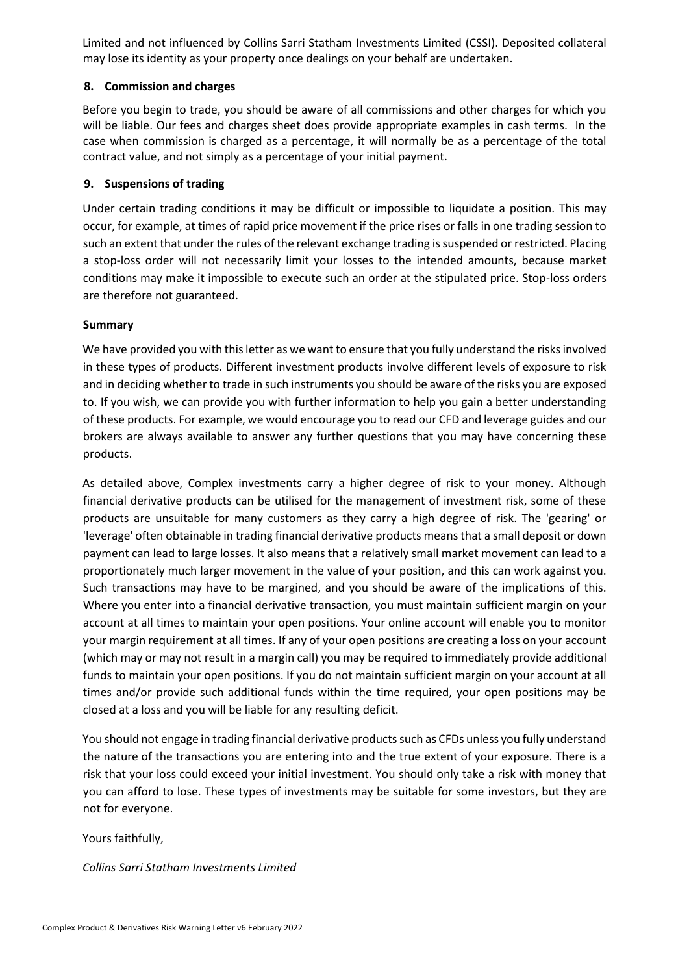Limited and not influenced by Collins Sarri Statham Investments Limited (CSSI). Deposited collateral may lose its identity as your property once dealings on your behalf are undertaken.

### **8. Commission and charges**

Before you begin to trade, you should be aware of all commissions and other charges for which you will be liable. Our fees and charges sheet does provide appropriate examples in cash terms. In the case when commission is charged as a percentage, it will normally be as a percentage of the total contract value, and not simply as a percentage of your initial payment.

### **9. Suspensions of trading**

Under certain trading conditions it may be difficult or impossible to liquidate a position. This may occur, for example, at times of rapid price movement if the price rises or falls in one trading session to such an extent that under the rules of the relevant exchange trading is suspended or restricted. Placing a stop-loss order will not necessarily limit your losses to the intended amounts, because market conditions may make it impossible to execute such an order at the stipulated price. Stop-loss orders are therefore not guaranteed.

### **Summary**

We have provided you with this letter as we want to ensure that you fully understand the risks involved in these types of products. Different investment products involve different levels of exposure to risk and in deciding whether to trade in such instruments you should be aware of the risks you are exposed to. If you wish, we can provide you with further information to help you gain a better understanding of these products. For example, we would encourage you to read our CFD and leverage guides and our brokers are always available to answer any further questions that you may have concerning these products.

As detailed above, Complex investments carry a higher degree of risk to your money. Although financial derivative products can be utilised for the management of investment risk, some of these products are unsuitable for many customers as they carry a high degree of risk. The 'gearing' or 'leverage' often obtainable in trading financial derivative products means that a small deposit or down payment can lead to large losses. It also means that a relatively small market movement can lead to a proportionately much larger movement in the value of your position, and this can work against you. Such transactions may have to be margined, and you should be aware of the implications of this. Where you enter into a financial derivative transaction, you must maintain sufficient margin on your account at all times to maintain your open positions. Your online account will enable you to monitor your margin requirement at all times. If any of your open positions are creating a loss on your account (which may or may not result in a margin call) you may be required to immediately provide additional funds to maintain your open positions. If you do not maintain sufficient margin on your account at all times and/or provide such additional funds within the time required, your open positions may be closed at a loss and you will be liable for any resulting deficit.

You should not engage in trading financial derivative products such as CFDs unless you fully understand the nature of the transactions you are entering into and the true extent of your exposure. There is a risk that your loss could exceed your initial investment. You should only take a risk with money that you can afford to lose. These types of investments may be suitable for some investors, but they are not for everyone.

Yours faithfully,

*Collins Sarri Statham Investments Limited*